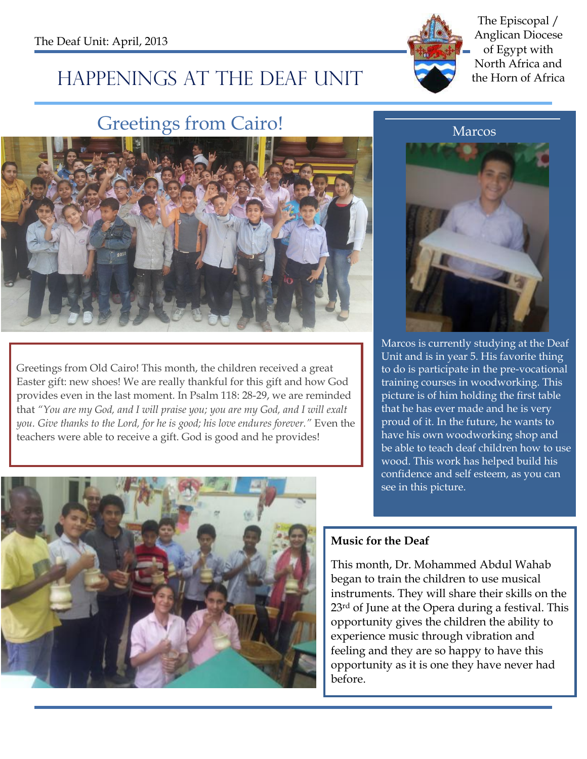

### The Episcopal / Anglican Diocese of Egypt with North Africa and

# HAPPENINGS AT THE DEAF UNIT the Horn of Africa

## Greetings from Cairo!



Greetings from Old Cairo! This month, the children received a great Easter gift: new shoes! We are really thankful for this gift and how God provides even in the last moment. In Psalm 118: 28-29, we are reminded that *"You are my God, and I will praise you; you are my God, and I will exalt you. Give thanks to the Lord, for he is good; his love endures forever."* Even the teachers were able to receive a gift. God is good and he provides!



Marcos is currently studying at the Deaf Unit and is in year 5. His favorite thing to do is participate in the pre-vocational training courses in woodworking. This picture is of him holding the first table that he has ever made and he is very proud of it. In the future, he wants to have his own woodworking shop and be able to teach deaf children how to use wood. This work has helped build his confidence and self esteem, as you can see in this picture.



#### **Music for the Deaf**

This month, Dr. Mohammed Abdul Wahab began to train the children to use musical instruments. They will share their skills on the 23<sup>rd</sup> of June at the Opera during a festival. This opportunity gives the children the ability to experience music through vibration and feeling and they are so happy to have this opportunity as it is one they have never had before.